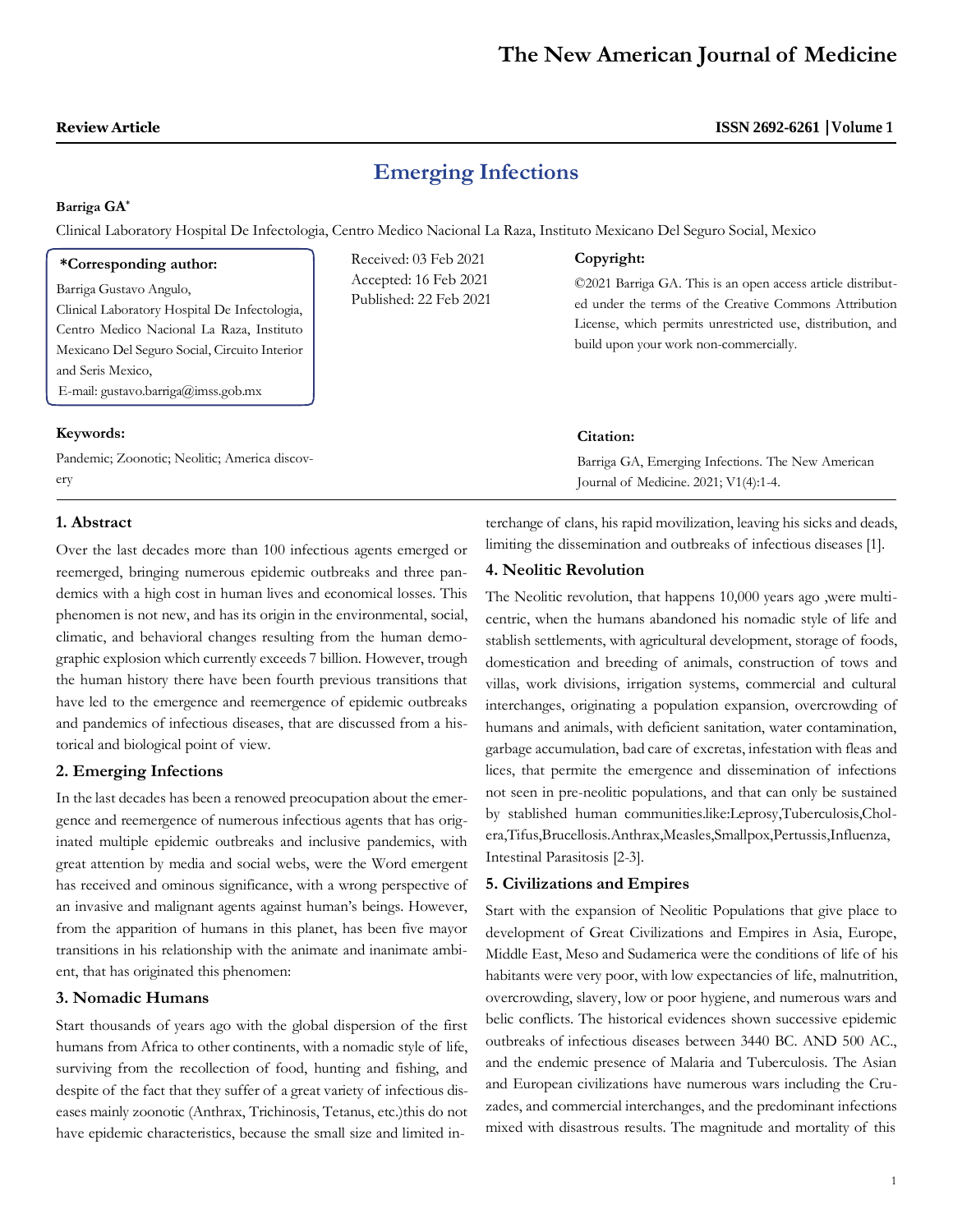## **ISSN 2692-6261 Volume 1**

# **Emerging Infections**

#### **Barriga GA\***

Clinical Laboratory Hospital De Infectologia, Centro Medico Nacional La Raza, Instituto Mexicano Del Seguro Social, Mexico

| *Corresponding author:<br>Barriga Gustavo Angulo,<br>Clinical Laboratory Hospital De Infectologia,<br>Centro Medico Nacional La Raza, Instituto<br>Mexicano Del Seguro Social, Circuito Interior<br>and Seris Mexico,<br>E-mail: gustavo.barriga@imss.gob.mx | Received: 03 Feb 2021<br>Accepted: 16 Feb 2021<br>Published: 22 Feb 2021 | Copyright:<br>©2021 Barriga GA. This is an open access article distribut-<br>ed under the terms of the Creative Commons Attribution<br>License, which permits unrestricted use, distribution, and<br>build upon your work non-commercially. |
|--------------------------------------------------------------------------------------------------------------------------------------------------------------------------------------------------------------------------------------------------------------|--------------------------------------------------------------------------|---------------------------------------------------------------------------------------------------------------------------------------------------------------------------------------------------------------------------------------------|
| Keywords:                                                                                                                                                                                                                                                    |                                                                          | Citation:                                                                                                                                                                                                                                   |
| Pandemic; Zoonotic; Neolitic; America discov-<br>erv                                                                                                                                                                                                         |                                                                          | Barriga GA, Emerging Infections. The New American<br>Lournal of Medicine $2021 \cdot V1/4 \cdot 1.4$                                                                                                                                        |

### **1. Abstract**

Over the last decades more than 100 infectious agents emerged or reemerged, bringing numerous epidemic outbreaks and three pandemics with a high cost in human lives and economical losses. This phenomen is not new, and has its origin in the environmental, social, climatic, and behavioral changes resulting from the human demographic explosion which currently exceeds 7 billion. However, trough the human history there have been fourth previous transitions that have led to the emergence and reemergence of epidemic outbreaks and pandemics of infectious diseases, that are discussed from a historical and biological point of view.

### **2. Emerging Infections**

In the last decades has been a renowed preocupation about the emergence and reemergence of numerous infectious agents that has originated multiple epidemic outbreaks and inclusive pandemics, with great attention by media and social webs, were the Word emergent has received and ominous significance, with a wrong perspective of an invasive and malignant agents against human's beings. However, from the apparition of humans in this planet, has been five mayor transitions in his relationship with the animate and inanimate ambient, that has originated this phenomen:

### **3. Nomadic Humans**

Start thousands of years ago with the global dispersion of the first humans from Africa to other continents, with a nomadic style of life, surviving from the recollection of food, hunting and fishing, and despite of the fact that they suffer of a great variety of infectious diseases mainly zoonotic (Anthrax, Trichinosis, Tetanus, etc.)this do not have epidemic characteristics, because the small size and limited in-

terchange of clans, his rapid movilization, leaving his sicks and deads, limiting the dissemination and outbreaks of infectious diseases [1].

Journal of Medicine. 2021; V1(4):1-4.

### **4. Neolitic Revolution**

The Neolitic revolution, that happens 10,000 years ago ,were multicentric, when the humans abandoned his nomadic style of life and stablish settlements, with agricultural development, storage of foods, domestication and breeding of animals, construction of tows and villas, work divisions, irrigation systems, commercial and cultural interchanges, originating a population expansion, overcrowding of humans and animals, with deficient sanitation, water contamination, garbage accumulation, bad care of excretas, infestation with fleas and lices, that permite the emergence and dissemination of infections not seen in pre-neolitic populations, and that can only be sustained by stablished human communities.like:Leprosy,Tuberculosis,Cholera,Tifus,Brucellosis.Anthrax,Measles,Smallpox,Pertussis,Influenza, Intestinal Parasitosis [2-3].

### **5. Civilizations and Empires**

Start with the expansion of Neolitic Populations that give place to development of Great Civilizations and Empires in Asia, Europe, Middle East, Meso and Sudamerica were the conditions of life of his habitants were very poor, with low expectancies of life, malnutrition, overcrowding, slavery, low or poor hygiene, and numerous wars and belic conflicts. The historical evidences shown successive epidemic outbreaks of infectious diseases between 3440 BC. AND 500 AC., and the endemic presence of Malaria and Tuberculosis. The Asian and European civilizations have numerous wars including the Cruzades, and commercial interchanges, and the predominant infections mixed with disastrous results. The magnitude and mortality of this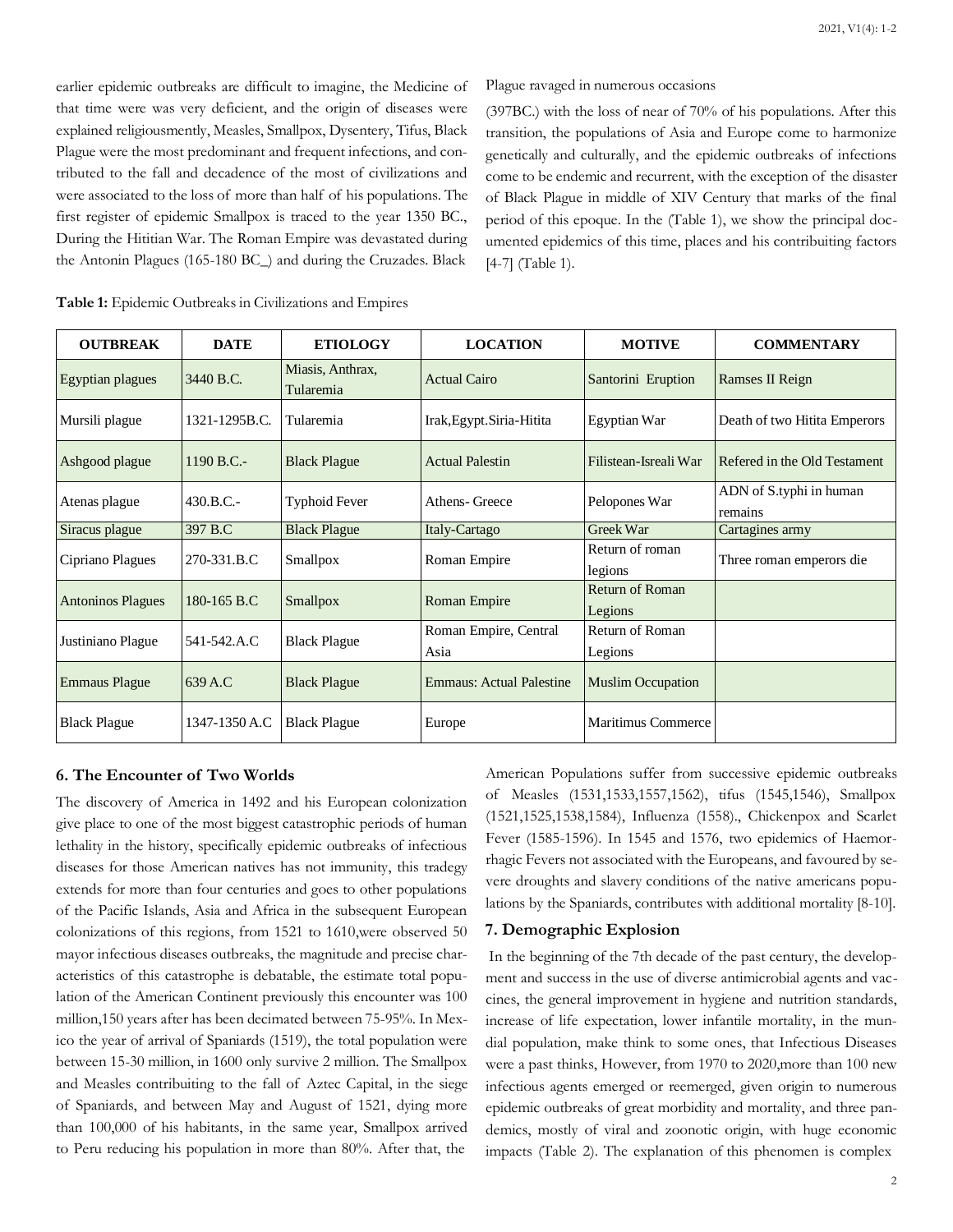earlier epidemic outbreaks are difficult to imagine, the Medicine of that time were was very deficient, and the origin of diseases were explained religiousmently, Measles, Smallpox, Dysentery, Tifus, Black Plague were the most predominant and frequent infections, and contributed to the fall and decadence of the most of civilizations and were associated to the loss of more than half of his populations. The first register of epidemic Smallpox is traced to the year 1350 BC., During the Hititian War. The Roman Empire was devastated during the Antonin Plagues (165-180 BC\_) and during the Cruzades. Black

Plague ravaged in numerous occasions

(397BC.) with the loss of near of 70% of his populations. After this transition, the populations of Asia and Europe come to harmonize genetically and culturally, and the epidemic outbreaks of infections come to be endemic and recurrent, with the exception of the disaster of Black Plague in middle of XIV Century that marks of the final period of this epoque. In the (Table 1), we show the principal documented epidemics of this time, places and his contribuiting factors [4-7] (Table 1).

| <b>OUTBREAK</b>          | <b>DATE</b>   | <b>ETIOLOGY</b>               | <b>LOCATION</b>                           | <b>MOTIVE</b>                     | <b>COMMENTARY</b>                  |
|--------------------------|---------------|-------------------------------|-------------------------------------------|-----------------------------------|------------------------------------|
| Egyptian plagues         | 3440 B.C.     | Miasis, Anthrax,<br>Tularemia | <b>Actual Cairo</b><br>Santorini Eruption |                                   | Ramses II Reign                    |
| Mursili plague           | 1321-1295B.C. | Tularemia                     | Irak, Egypt. Siria-Hitita<br>Egyptian War |                                   | Death of two Hitita Emperors       |
| Ashgood plague           | $1190 B.C. -$ | <b>Black Plague</b>           | <b>Actual Palestin</b>                    | Filistean-Isreali War             | Refered in the Old Testament       |
| Atenas plague            | $430.B.C.-$   | Typhoid Fever                 | Pelopones War<br>Athens- Greece           |                                   | ADN of S.typhi in human<br>remains |
| Siracus plague           | 397 B.C       | <b>Black Plague</b>           | Italy-Cartago                             | Greek War                         | Cartagines army                    |
| Cipriano Plagues         | 270-331.B.C   | Smallpox                      | Roman Empire                              | Return of roman<br>legions        | Three roman emperors die           |
| <b>Antoninos Plagues</b> | 180-165 B.C   | Smallpox                      | Roman Empire                              | <b>Return of Roman</b><br>Legions |                                    |
| Justiniano Plague        | 541-542.A.C   | <b>Black Plague</b>           | Roman Empire, Central<br>Asia             | Return of Roman<br>Legions        |                                    |
| <b>Emmaus Plague</b>     | 639 A.C       | <b>Black Plague</b>           | Emmaus: Actual Palestine                  | <b>Muslim Occupation</b>          |                                    |
| <b>Black Plague</b>      | 1347-1350 A.C | <b>Black Plague</b>           | Europe                                    | <b>Maritimus Commerce</b>         |                                    |

| Table 1: Epidemic Outbreaks in Civilizations and Empires |  |  |  |
|----------------------------------------------------------|--|--|--|
|----------------------------------------------------------|--|--|--|

#### **6. The Encounter of Two Worlds**

The discovery of America in 1492 and his European colonization give place to one of the most biggest catastrophic periods of human lethality in the history, specifically epidemic outbreaks of infectious diseases for those American natives has not immunity, this tradegy extends for more than four centuries and goes to other populations of the Pacific Islands, Asia and Africa in the subsequent European colonizations of this regions, from 1521 to 1610,were observed 50 mayor infectious diseases outbreaks, the magnitude and precise characteristics of this catastrophe is debatable, the estimate total population of the American Continent previously this encounter was 100 million,150 years after has been decimated between 75-95%. In Mexico the year of arrival of Spaniards (1519), the total population were between 15-30 million, in 1600 only survive 2 million. The Smallpox and Measles contribuiting to the fall of Aztec Capital, in the siege of Spaniards, and between May and August of 1521, dying more than 100,000 of his habitants, in the same year, Smallpox arrived to Peru reducing his population in more than 80%. After that, the

American Populations suffer from successive epidemic outbreaks of Measles (1531,1533,1557,1562), tifus (1545,1546), Smallpox (1521,1525,1538,1584), Influenza (1558)., Chickenpox and Scarlet Fever (1585-1596). In 1545 and 1576, two epidemics of Haemorrhagic Fevers not associated with the Europeans, and favoured by severe droughts and slavery conditions of the native americans populations by the Spaniards, contributes with additional mortality [8-10].

#### **7. Demographic Explosion**

In the beginning of the 7th decade of the past century, the development and success in the use of diverse antimicrobial agents and vaccines, the general improvement in hygiene and nutrition standards, increase of life expectation, lower infantile mortality, in the mundial population, make think to some ones, that Infectious Diseases were a past thinks, However, from 1970 to 2020,more than 100 new infectious agents emerged or reemerged, given origin to numerous epidemic outbreaks of great morbidity and mortality, and three pandemics, mostly of viral and zoonotic origin, with huge economic impacts (Table 2). The explanation of this phenomen is complex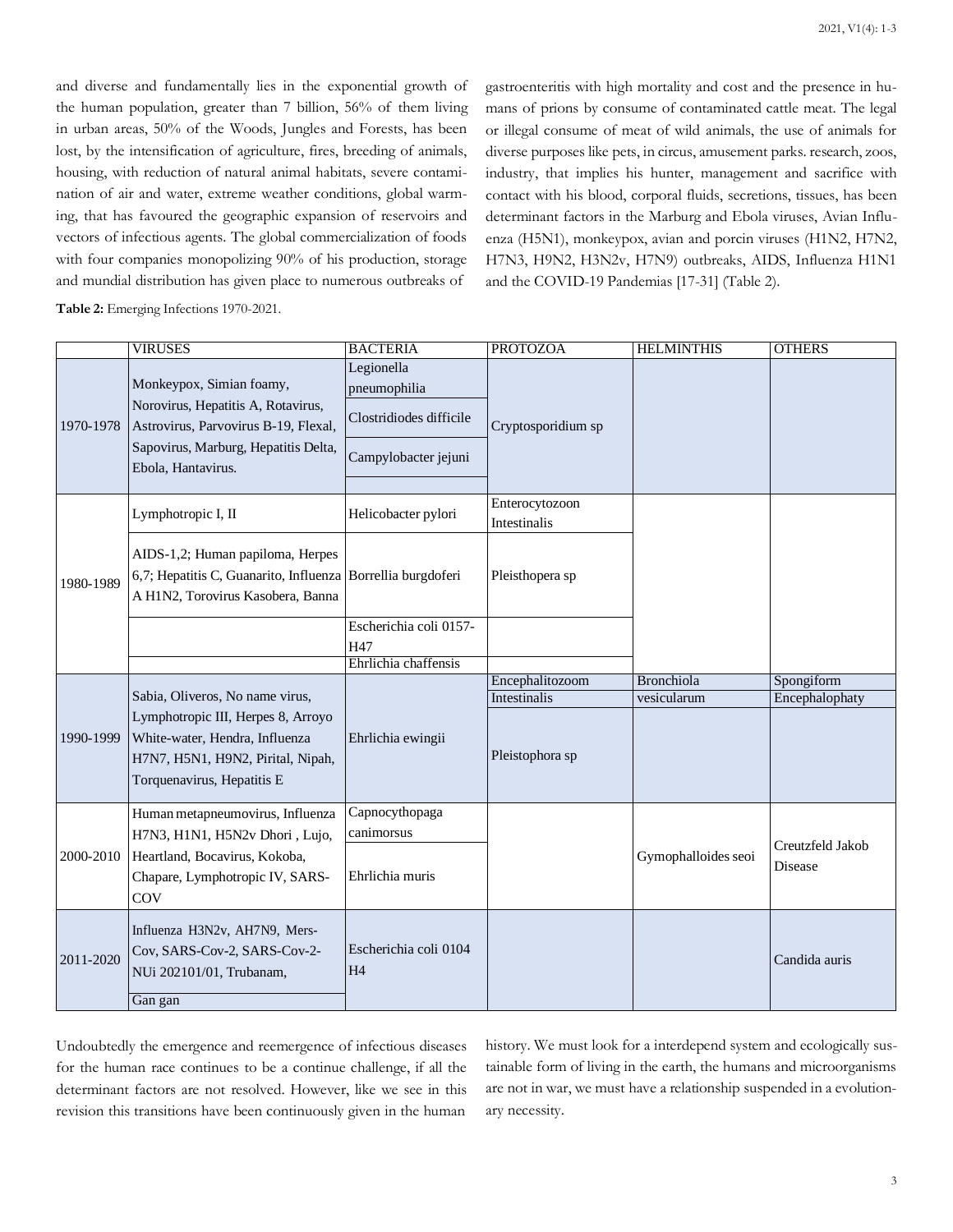and diverse and fundamentally lies in the exponential growth of the human population, greater than 7 billion, 56% of them living in urban areas, 50% of the Woods, Jungles and Forests, has been lost, by the intensification of agriculture, fires, breeding of animals, housing, with reduction of natural animal habitats, severe contamination of air and water, extreme weather conditions, global warming, that has favoured the geographic expansion of reservoirs and vectors of infectious agents. The global commercialization of foods with four companies monopolizing 90% of his production, storage and mundial distribution has given place to numerous outbreaks of

**Table 2:** Emerging Infections 1970-2021.

gastroenteritis with high mortality and cost and the presence in humans of prions by consume of contaminated cattle meat. The legal or illegal consume of meat of wild animals, the use of animals for diverse purposes like pets, in circus, amusement parks. research, zoos, industry, that implies his hunter, management and sacrifice with contact with his blood, corporal fluids, secretions, tissues, has been determinant factors in the Marburg and Ebola viruses, Avian Influenza (H5N1), monkeypox, avian and porcin viruses (H1N2, H7N2, H7N3, H9N2, H3N2v, H7N9) outbreaks, AIDS, Influenza H1N1 and the COVID-19 Pandemias [17-31] (Table 2).

|           | <b>VIRUSES</b>                                                                                                                                                             | <b>BACTERIA</b>                                                               | <b>PROTOZOA</b>                 | <b>HELMINTHIS</b>   | <b>OTHERS</b>               |
|-----------|----------------------------------------------------------------------------------------------------------------------------------------------------------------------------|-------------------------------------------------------------------------------|---------------------------------|---------------------|-----------------------------|
| 1970-1978 | Monkeypox, Simian foamy,<br>Norovirus, Hepatitis A, Rotavirus,<br>Astrovirus, Parvovirus B-19, Flexal,<br>Sapovirus, Marburg, Hepatitis Delta,<br>Ebola, Hantavirus.       | Legionella<br>pneumophilia<br>Clostridiodes difficile<br>Campylobacter jejuni | Cryptosporidium sp              |                     |                             |
|           | Lymphotropic I, II                                                                                                                                                         | Helicobacter pylori                                                           | Enterocytozoon<br>Intestinalis  |                     |                             |
| 1980-1989 | AIDS-1,2; Human papiloma, Herpes<br>6,7; Hepatitis C, Guanarito, Influenza Borrellia burgdoferi<br>A H1N2, Torovirus Kasobera, Banna                                       |                                                                               | Pleisthopera sp                 |                     |                             |
|           |                                                                                                                                                                            | Escherichia coli 0157-<br>H47<br>Ehrlichia chaffensis                         |                                 |                     |                             |
|           |                                                                                                                                                                            |                                                                               | Encephalitozoom                 | Bronchiola          | Spongiform                  |
| 1990-1999 | Sabia, Oliveros, No name virus,<br>Lymphotropic III, Herpes 8, Arroyo<br>White-water, Hendra, Influenza<br>H7N7, H5N1, H9N2, Pirital, Nipah,<br>Torquenavirus, Hepatitis E | Ehrlichia ewingii                                                             | Intestinalis<br>Pleistophora sp | vesicularum         | Encephalophaty              |
| 2000-2010 | Human metapneumovirus, Influenza<br>H7N3, H1N1, H5N2v Dhori, Lujo,<br>Heartland, Bocavirus, Kokoba,<br>Chapare, Lymphotropic IV, SARS-<br>COV                              | Capnocythopaga<br>canimorsus<br>Ehrlichia muris                               |                                 | Gymophalloides seoi | Creutzfeld Jakob<br>Disease |
| 2011-2020 | Influenza H3N2v, AH7N9, Mers-<br>Cov, SARS-Cov-2, SARS-Cov-2-<br>NUi 202101/01, Trubanam,<br>Gan gan                                                                       | Escherichia coli 0104<br><b>H4</b>                                            |                                 |                     | Candida auris               |

Undoubtedly the emergence and reemergence of infectious diseases for the human race continues to be a continue challenge, if all the determinant factors are not resolved. However, like we see in this revision this transitions have been continuously given in the human history. We must look for a interdepend system and ecologically sustainable form of living in the earth, the humans and microorganisms are not in war, we must have a relationship suspended in a evolutionary necessity.